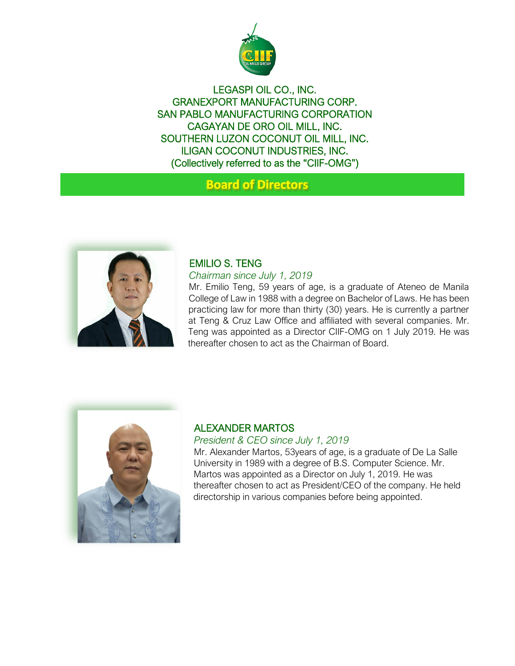

LEGASPI OIL CO., INC. GRANEXPORT MANUFACTURING CORP. SAN PABLO MANUFACTURING CORPORATION CAGAYAN DE ORO OIL MILL, INC. SOUTHERN LUZON COCONUT OIL MILL, INC. ILIGAN COCONUT INDUSTRIES, INC. (Collectively referred to as the "CIIF-OMG")

# **Board of Directors**



# EMILIO S. TENG

#### *Chairman since July 1, 2019*

Mr. Emilio Teng, 59 years of age, is a graduate of Ateneo de Manila College of Law in 1988 with a degree on Bachelor of Laws. He has been practicing law for more than thirty (30) years. He is currently a partner at Teng & Cruz Law Office and affiliated with several companies. Mr. Teng was appointed as a Director CIIF-OMG on 1 July 2019. He was thereafter chosen to act as the Chairman of Board.



# ALEXANDER MARTOS

#### *President & CEO since July 1, 2019*

Mr. Alexander Martos, 53years of age, is a graduate of De La Salle University in 1989 with a degree of B.S. Computer Science. Mr. Martos was appointed as a Director on July 1, 2019. He was thereafter chosen to act as President/CEO of the company. He held directorship in various companies before being appointed.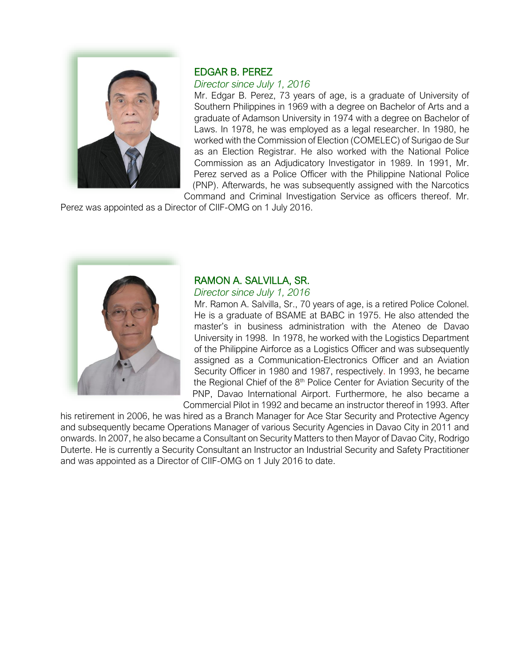

### EDGAR B. PEREZ

# *Director since July 1, 2016*

Mr. Edgar B. Perez, 73 years of age, is a graduate of University of Southern Philippines in 1969 with a degree on Bachelor of Arts and a graduate of Adamson University in 1974 with a degree on Bachelor of Laws. In 1978, he was employed as a legal researcher. In 1980, he worked with the Commission of Election (COMELEC) of Surigao de Sur as an Election Registrar. He also worked with the National Police Commission as an Adjudicatory Investigator in 1989. In 1991, Mr. Perez served as a Police Officer with the Philippine National Police (PNP). Afterwards, he was subsequently assigned with the Narcotics

Command and Criminal Investigation Service as officers thereof. Mr. Perez was appointed as a Director of CIIF-OMG on 1 July 2016.



# RAMON A. SALVILLA, SR.

*Director since July 1, 2016* 

Mr. Ramon A. Salvilla, Sr., 70 years of age, is a retired Police Colonel. He is a graduate of BSAME at BABC in 1975. He also attended the master's in business administration with the Ateneo de Davao University in 1998. In 1978, he worked with the Logistics Department of the Philippine Airforce as a Logistics Officer and was subsequently assigned as a Communication-Electronics Officer and an Aviation Security Officer in 1980 and 1987, respectively. In 1993, he became the Regional Chief of the  $8<sup>th</sup>$  Police Center for Aviation Security of the PNP, Davao International Airport. Furthermore, he also became a

Commercial Pilot in 1992 and became an instructor thereof in 1993. After his retirement in 2006, he was hired as a Branch Manager for Ace Star Security and Protective Agency

and subsequently became Operations Manager of various Security Agencies in Davao City in 2011 and onwards. In 2007, he also became a Consultant on Security Matters to then Mayor of Davao City, Rodrigo Duterte. He is currently a Security Consultant an Instructor an Industrial Security and Safety Practitioner and was appointed as a Director of CIIF-OMG on 1 July 2016 to date.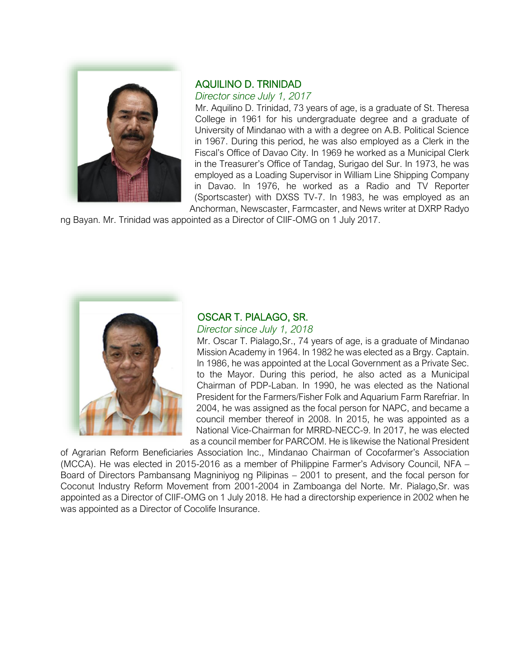

# AQUILINO D. TRINIDAD

*Director since July 1, 2017*

Mr. Aquilino D. Trinidad, 73 years of age, is a graduate of St. Theresa College in 1961 for his undergraduate degree and a graduate of University of Mindanao with a with a degree on A.B. Political Science in 1967. During this period, he was also employed as a Clerk in the Fiscal's Office of Davao City. In 1969 he worked as a Municipal Clerk in the Treasurer's Office of Tandag, Surigao del Sur. In 1973, he was employed as a Loading Supervisor in William Line Shipping Company in Davao. In 1976, he worked as a Radio and TV Reporter (Sportscaster) with DXSS TV-7. In 1983, he was employed as an Anchorman, Newscaster, Farmcaster, and News writer at DXRP Radyo

ng Bayan. Mr. Trinidad was appointed as a Director of CIIF-OMG on 1 July 2017.



# OSCAR T. PIALAGO, SR.

*Director since July 1, 2018* 

Mr. Oscar T. Pialago,Sr., 74 years of age, is a graduate of Mindanao Mission Academy in 1964. In 1982 he was elected as a Brgy. Captain. In 1986, he was appointed at the Local Government as a Private Sec. to the Mayor. During this period, he also acted as a Municipal Chairman of PDP-Laban. In 1990, he was elected as the National President for the Farmers/Fisher Folk and Aquarium Farm Rarefriar. In 2004, he was assigned as the focal person for NAPC, and became a council member thereof in 2008. In 2015, he was appointed as a National Vice-Chairman for MRRD-NECC-9. In 2017, he was elected as a council member for PARCOM. He is likewise the National President

of Agrarian Reform Beneficiaries Association Inc., Mindanao Chairman of Cocofarmer's Association (MCCA). He was elected in 2015-2016 as a member of Philippine Farmer's Advisory Council, NFA – Board of Directors Pambansang Magniniyog ng Pilipinas – 2001 to present, and the focal person for Coconut Industry Reform Movement from 2001-2004 in Zamboanga del Norte. Mr. Pialago,Sr. was appointed as a Director of CIIF-OMG on 1 July 2018. He had a directorship experience in 2002 when he was appointed as a Director of Cocolife Insurance.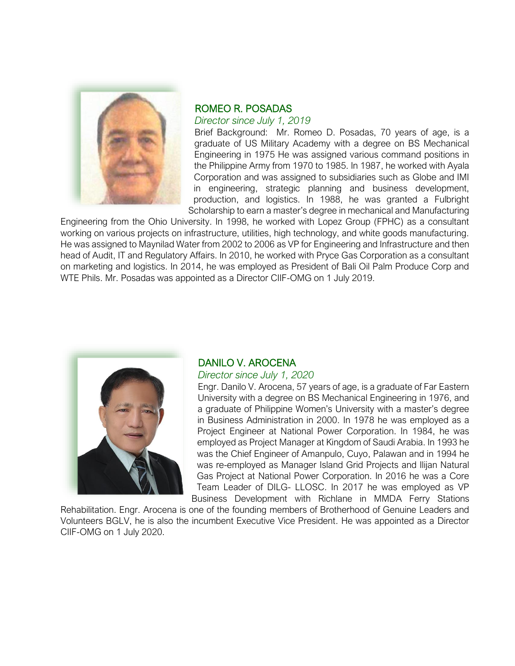

#### ROMEO R. POSADAS

*Director since July 1, 2019* 

Brief Background: Mr. Romeo D. Posadas, 70 years of age, is a graduate of US Military Academy with a degree on BS Mechanical Engineering in 1975 He was assigned various command positions in the Philippine Army from 1970 to 1985. In 1987, he worked with Ayala Corporation and was assigned to subsidiaries such as Globe and IMI in engineering, strategic planning and business development, production, and logistics. In 1988, he was granted a Fulbright Scholarship to earn a master's degree in mechanical and Manufacturing

Engineering from the Ohio University. In 1998, he worked with Lopez Group (FPHC) as a consultant working on various projects on infrastructure, utilities, high technology, and white goods manufacturing. He was assigned to Maynilad Water from 2002 to 2006 as VP for Engineering and Infrastructure and then head of Audit, IT and Regulatory Affairs. In 2010, he worked with Pryce Gas Corporation as a consultant on marketing and logistics. In 2014, he was employed as President of Bali Oil Palm Produce Corp and WTE Phils. Mr. Posadas was appointed as a Director CIIF-OMG on 1 July 2019.



# DANILO V. AROCENA

#### *Director since July 1, 2020*

Engr. Danilo V. Arocena, 57 years of age, is a graduate of Far Eastern University with a degree on BS Mechanical Engineering in 1976, and a graduate of Philippine Women's University with a master's degree in Business Administration in 2000. In 1978 he was employed as a Project Engineer at National Power Corporation. In 1984, he was employed as Project Manager at Kingdom of Saudi Arabia. In 1993 he was the Chief Engineer of Amanpulo, Cuyo, Palawan and in 1994 he was re-employed as Manager Island Grid Projects and Ilijan Natural Gas Project at National Power Corporation. In 2016 he was a Core Team Leader of DILG- LLOSC. In 2017 he was employed as VP Business Development with Richlane in MMDA Ferry Stations

Rehabilitation. Engr. Arocena is one of the founding members of Brotherhood of Genuine Leaders and Volunteers BGLV, he is also the incumbent Executive Vice President. He was appointed as a Director CIIF-OMG on 1 July 2020.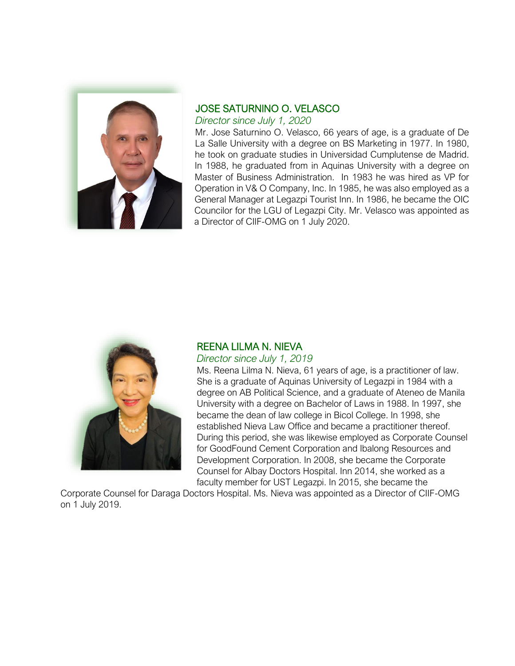

# JOSE SATURNINO O. VELASCO

*Director since July 1, 2020* 

Mr. Jose Saturnino O. Velasco, 66 years of age, is a graduate of De La Salle University with a degree on BS Marketing in 1977. In 1980, he took on graduate studies in Universidad Cumplutense de Madrid. In 1988, he graduated from in Aquinas University with a degree on Master of Business Administration. In 1983 he was hired as VP for Operation in V& O Company, Inc. In 1985, he was also employed as a General Manager at Legazpi Tourist Inn. In 1986, he became the OIC Councilor for the LGU of Legazpi City. Mr. Velasco was appointed as a Director of CIIF-OMG on 1 July 2020.



#### REENA LILMA N. NIEVA

*Director since July 1, 2019* 

Ms. Reena Lilma N. Nieva, 61 years of age, is a practitioner of law. She is a graduate of Aquinas University of Legazpi in 1984 with a degree on AB Political Science, and a graduate of Ateneo de Manila University with a degree on Bachelor of Laws in 1988. In 1997, she became the dean of law college in Bicol College. In 1998, she established Nieva Law Office and became a practitioner thereof. During this period, she was likewise employed as Corporate Counsel for GoodFound Cement Corporation and Ibalong Resources and Development Corporation. In 2008, she became the Corporate Counsel for Albay Doctors Hospital. Inn 2014, she worked as a faculty member for UST Legazpi. In 2015, she became the

Corporate Counsel for Daraga Doctors Hospital. Ms. Nieva was appointed as a Director of CIIF-OMG on 1 July 2019.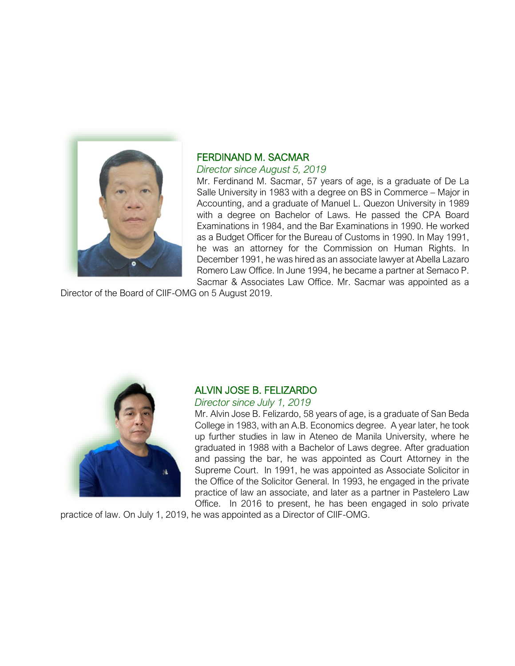

# FERDINAND M. SACMAR

#### *Director since August 5, 2019*

Mr. Ferdinand M. Sacmar, 57 years of age, is a graduate of De La Salle University in 1983 with a degree on BS in Commerce – Major in Accounting, and a graduate of Manuel L. Quezon University in 1989 with a degree on Bachelor of Laws. He passed the CPA Board Examinations in 1984, and the Bar Examinations in 1990. He worked as a Budget Officer for the Bureau of Customs in 1990. In May 1991, he was an attorney for the Commission on Human Rights. In December 1991, he was hired as an associate lawyer at Abella Lazaro Romero Law Office. In June 1994, he became a partner at Semaco P. Sacmar & Associates Law Office. Mr. Sacmar was appointed as a

Director of the Board of CIIF-OMG on 5 August 2019.



# ALVIN JOSE B. FELIZARDO

#### *Director since July 1, 2019*

Mr. Alvin Jose B. Felizardo, 58 years of age, is a graduate of San Beda College in 1983, with an A.B. Economics degree. A year later, he took up further studies in law in Ateneo de Manila University, where he graduated in 1988 with a Bachelor of Laws degree. After graduation and passing the bar, he was appointed as Court Attorney in the Supreme Court. In 1991, he was appointed as Associate Solicitor in the Office of the Solicitor General. In 1993, he engaged in the private practice of law an associate, and later as a partner in Pastelero Law Office. In 2016 to present, he has been engaged in solo private

practice of law. On July 1, 2019, he was appointed as a Director of CIIF-OMG.